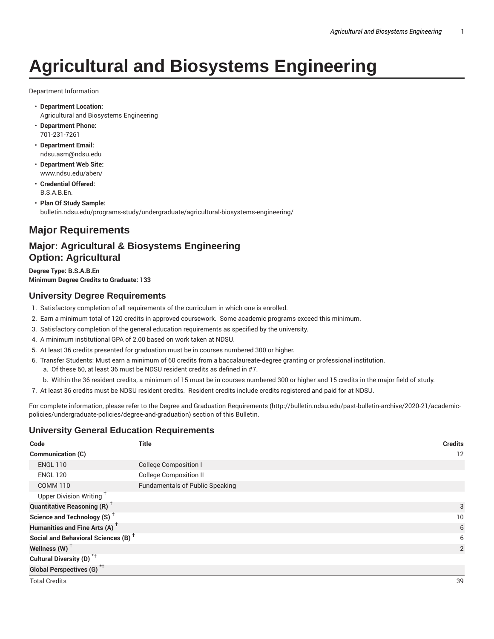# **Agricultural and Biosystems Engineering**

Department Information

- **Department Location:** Agricultural and Biosystems Engineering
- **Department Phone:** 701-231-7261
- **Department Email:** ndsu.asm@ndsu.edu
- **Department Web Site:** www.ndsu.edu/aben/
- **Credential Offered:** B.S.A.B.En.
- **Plan Of Study Sample:** bulletin.ndsu.edu/programs-study/undergraduate/agricultural-biosystems-engineering/

## **Major Requirements**

## **Major: Agricultural & Biosystems Engineering Option: Agricultural**

**Degree Type: B.S.A.B.En Minimum Degree Credits to Graduate: 133**

## **University Degree Requirements**

- 1. Satisfactory completion of all requirements of the curriculum in which one is enrolled.
- 2. Earn a minimum total of 120 credits in approved coursework. Some academic programs exceed this minimum.
- 3. Satisfactory completion of the general education requirements as specified by the university.
- 4. A minimum institutional GPA of 2.00 based on work taken at NDSU.
- 5. At least 36 credits presented for graduation must be in courses numbered 300 or higher.
- 6. Transfer Students: Must earn a minimum of 60 credits from a baccalaureate-degree granting or professional institution. a. Of these 60, at least 36 must be NDSU resident credits as defined in #7.
	- b. Within the 36 resident credits, a minimum of 15 must be in courses numbered 300 or higher and 15 credits in the major field of study.
- 7. At least 36 credits must be NDSU resident credits. Resident credits include credits registered and paid for at NDSU.

For complete information, please refer to the Degree and Graduation Requirements (http://bulletin.ndsu.edu/past-bulletin-archive/2020-21/academicpolicies/undergraduate-policies/degree-and-graduation) section of this Bulletin.

## **University General Education Requirements**

| Code                                            | <b>Title</b>                           | <b>Credits</b> |
|-------------------------------------------------|----------------------------------------|----------------|
| Communication (C)                               |                                        | 12             |
| <b>ENGL 110</b>                                 | <b>College Composition I</b>           |                |
| <b>ENGL 120</b>                                 | <b>College Composition II</b>          |                |
| <b>COMM 110</b>                                 | <b>Fundamentals of Public Speaking</b> |                |
| Upper Division Writing <sup>+</sup>             |                                        |                |
| <b>Quantitative Reasoning (R)</b> <sup>†</sup>  |                                        | 3              |
| Science and Technology (S) <sup>+</sup>         |                                        | 10             |
| Humanities and Fine Arts (A) <sup>+</sup>       |                                        | 6              |
| Social and Behavioral Sciences (B) <sup>+</sup> |                                        | 6              |
| Wellness (W) $^{\dagger}$                       |                                        | $\overline{2}$ |
| Cultural Diversity (D) <sup>*†</sup>            |                                        |                |
| <b>Global Perspectives (G)<sup>*†</sup></b>     |                                        |                |
| <b>Total Credits</b>                            |                                        | 39             |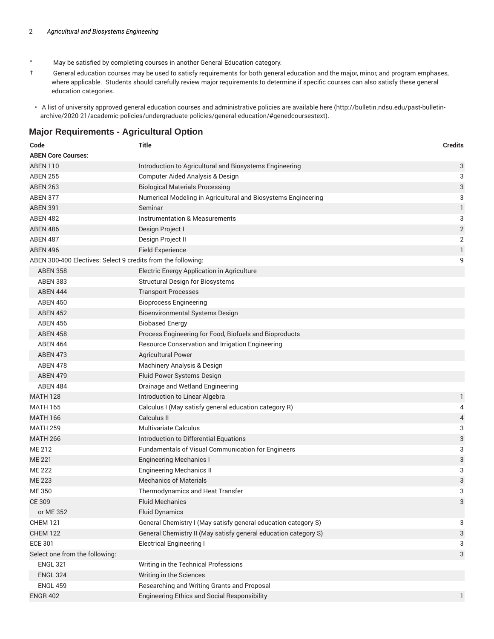- \* May be satisfied by completing courses in another General Education category.
- † General education courses may be used to satisfy requirements for both general education and the major, minor, and program emphases, where applicable. Students should carefully review major requirements to determine if specific courses can also satisfy these general education categories.
- A list of university approved general education courses and administrative policies are available here (http://bulletin.ndsu.edu/past-bulletinarchive/2020-21/academic-policies/undergraduate-policies/general-education/#genedcoursestext).

### **Major Requirements - Agricultural Option**

| Code                                                         | <b>Title</b>                                                    | <b>Credits</b> |
|--------------------------------------------------------------|-----------------------------------------------------------------|----------------|
| <b>ABEN Core Courses:</b>                                    |                                                                 |                |
| <b>ABEN 110</b>                                              | Introduction to Agricultural and Biosystems Engineering         | 3              |
| <b>ABEN 255</b>                                              | Computer Aided Analysis & Design                                | 3              |
| <b>ABEN 263</b>                                              | <b>Biological Materials Processing</b>                          | 3              |
| ABEN 377                                                     | Numerical Modeling in Agricultural and Biosystems Engineering   | 3              |
| <b>ABEN 391</b>                                              | Seminar                                                         | $\mathbf{1}$   |
| <b>ABEN 482</b>                                              | <b>Instrumentation &amp; Measurements</b>                       | 3              |
| <b>ABEN 486</b>                                              | Design Project I                                                | $\overline{2}$ |
| <b>ABEN 487</b>                                              | Design Project II                                               | 2              |
| <b>ABEN 496</b>                                              | <b>Field Experience</b>                                         | 1              |
| ABEN 300-400 Electives: Select 9 credits from the following: |                                                                 | 9              |
| <b>ABEN 358</b>                                              | Electric Energy Application in Agriculture                      |                |
| <b>ABEN 383</b>                                              | <b>Structural Design for Biosystems</b>                         |                |
| ABEN 444                                                     | <b>Transport Processes</b>                                      |                |
| <b>ABEN 450</b>                                              | <b>Bioprocess Engineering</b>                                   |                |
| <b>ABEN 452</b>                                              | <b>Bioenvironmental Systems Design</b>                          |                |
| <b>ABEN 456</b>                                              | <b>Biobased Energy</b>                                          |                |
| <b>ABEN 458</b>                                              | Process Engineering for Food, Biofuels and Bioproducts          |                |
| <b>ABEN 464</b>                                              | Resource Conservation and Irrigation Engineering                |                |
| <b>ABEN 473</b>                                              | <b>Agricultural Power</b>                                       |                |
| <b>ABEN 478</b>                                              | Machinery Analysis & Design                                     |                |
| <b>ABEN 479</b>                                              | Fluid Power Systems Design                                      |                |
| <b>ABEN 484</b>                                              | Drainage and Wetland Engineering                                |                |
| <b>MATH 128</b>                                              | Introduction to Linear Algebra                                  | 1              |
| <b>MATH 165</b>                                              | Calculus I (May satisfy general education category R)           | 4              |
| <b>MATH 166</b>                                              | Calculus II                                                     | 4              |
| <b>MATH 259</b>                                              | <b>Multivariate Calculus</b>                                    | 3              |
| <b>MATH 266</b>                                              | Introduction to Differential Equations                          | 3              |
| ME 212                                                       | Fundamentals of Visual Communication for Engineers              | 3              |
| <b>ME 221</b>                                                | <b>Engineering Mechanics I</b>                                  | 3              |
| <b>ME 222</b>                                                | <b>Engineering Mechanics II</b>                                 | 3              |
| <b>ME 223</b>                                                | <b>Mechanics of Materials</b>                                   | 3              |
| ME 350                                                       | Thermodynamics and Heat Transfer                                | 3              |
| CE 309                                                       | <b>Fluid Mechanics</b>                                          | 3              |
| or ME 352                                                    | <b>Fluid Dynamics</b>                                           |                |
| <b>CHEM 121</b>                                              | General Chemistry I (May satisfy general education category S)  | 3              |
| <b>CHEM 122</b>                                              | General Chemistry II (May satisfy general education category S) | 3              |
| <b>ECE 301</b>                                               | <b>Electrical Engineering I</b>                                 | 3              |
| Select one from the following:                               |                                                                 | 3              |
| <b>ENGL 321</b>                                              | Writing in the Technical Professions                            |                |
| <b>ENGL 324</b>                                              | Writing in the Sciences                                         |                |
| <b>ENGL 459</b>                                              | Researching and Writing Grants and Proposal                     |                |
| <b>ENGR 402</b>                                              | <b>Engineering Ethics and Social Responsibility</b>             | 1              |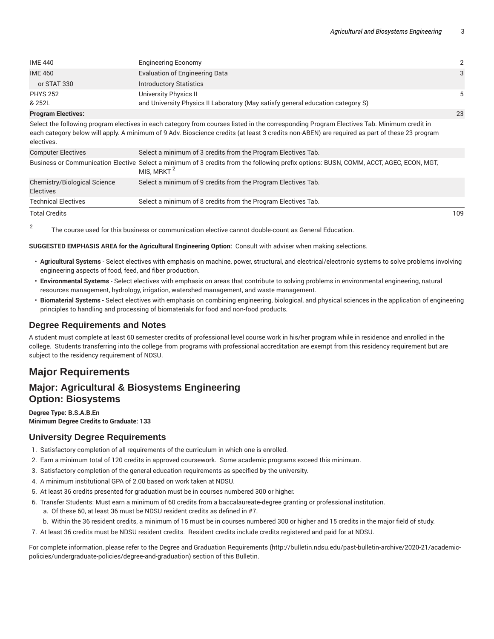| <b>Engineering Economy</b>                                                      | $\overline{2}$ |
|---------------------------------------------------------------------------------|----------------|
| <b>Evaluation of Engineering Data</b>                                           | 3              |
| <b>Introductory Statistics</b>                                                  |                |
| University Physics II                                                           | 5              |
| and University Physics II Laboratory (May satisfy general education category S) |                |
|                                                                                 |                |

#### **Program Electives:** 23

Select the following program electives in each category from courses listed in the corresponding Program Electives Tab. Minimum credit in each category below will apply. A minimum of 9 Adv. Bioscience credits (at least 3 credits non-ABEN) are required as part of these 23 program electives.

| <b>Computer Electives</b>                        | Select a minimum of 3 credits from the Program Electives Tab.                                                                                                    |     |
|--------------------------------------------------|------------------------------------------------------------------------------------------------------------------------------------------------------------------|-----|
|                                                  | Business or Communication Elective Select a minimum of 3 credits from the following prefix options: BUSN, COMM, ACCT, AGEC, ECON, MGT,<br>MIS, MRKT <sup>2</sup> |     |
| Chemistry/Biological Science<br><b>Electives</b> | Select a minimum of 9 credits from the Program Electives Tab.                                                                                                    |     |
| <b>Technical Electives</b>                       | Select a minimum of 8 credits from the Program Electives Tab.                                                                                                    |     |
| <b>Total Credits</b>                             |                                                                                                                                                                  | 109 |

2 The course used for this business or communication elective cannot double-count as General Education.

#### **SUGGESTED EMPHASIS AREA for the Agricultural Engineering Option:**  Consult with adviser when making selections.

- **Agricultural Systems** Select electives with emphasis on machine, power, structural, and electrical/electronic systems to solve problems involving engineering aspects of food, feed, and fiber production.
- **Environmental Systems** Select electives with emphasis on areas that contribute to solving problems in environmental engineering, natural resources management, hydrology, irrigation, watershed management, and waste management.
- **Biomaterial Systems** Select electives with emphasis on combining engineering, biological, and physical sciences in the application of engineering principles to handling and processing of biomaterials for food and non-food products.

#### **Degree Requirements and Notes**

A student must complete at least 60 semester credits of professional level course work in his/her program while in residence and enrolled in the college. Students transferring into the college from programs with professional accreditation are exempt from this residency requirement but are subject to the residency requirement of NDSU.

## **Major Requirements**

## **Major: Agricultural & Biosystems Engineering Option: Biosystems**

#### **Degree Type: B.S.A.B.En Minimum Degree Credits to Graduate: 133**

#### **University Degree Requirements**

- 1. Satisfactory completion of all requirements of the curriculum in which one is enrolled.
- 2. Earn a minimum total of 120 credits in approved coursework. Some academic programs exceed this minimum.
- 3. Satisfactory completion of the general education requirements as specified by the university.
- 4. A minimum institutional GPA of 2.00 based on work taken at NDSU.
- 5. At least 36 credits presented for graduation must be in courses numbered 300 or higher.
- 6. Transfer Students: Must earn a minimum of 60 credits from a baccalaureate-degree granting or professional institution.
	- a. Of these 60, at least 36 must be NDSU resident credits as defined in #7.
	- b. Within the 36 resident credits, a minimum of 15 must be in courses numbered 300 or higher and 15 credits in the major field of study.
- 7. At least 36 credits must be NDSU resident credits. Resident credits include credits registered and paid for at NDSU.

For complete information, please refer to the Degree and Graduation Requirements (http://bulletin.ndsu.edu/past-bulletin-archive/2020-21/academicpolicies/undergraduate-policies/degree-and-graduation) section of this Bulletin.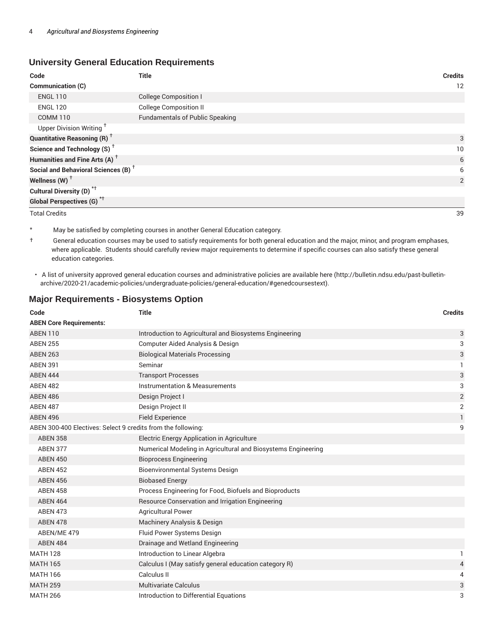## **University General Education Requirements**

| Code                                            | <b>Title</b>                           | <b>Credits</b> |
|-------------------------------------------------|----------------------------------------|----------------|
| Communication (C)                               |                                        | 12             |
| <b>ENGL 110</b>                                 | <b>College Composition I</b>           |                |
| <b>ENGL 120</b>                                 | <b>College Composition II</b>          |                |
| <b>COMM 110</b>                                 | <b>Fundamentals of Public Speaking</b> |                |
| Upper Division Writing <sup>+</sup>             |                                        |                |
| <b>Quantitative Reasoning (R)</b> <sup>†</sup>  |                                        | 3              |
| Science and Technology (S) <sup>+</sup>         |                                        | 10             |
| Humanities and Fine Arts (A) <sup>+</sup>       |                                        | 6              |
| Social and Behavioral Sciences (B) <sup>+</sup> |                                        | 6              |
| Wellness $(W)$ <sup>+</sup>                     |                                        | 2              |
| Cultural Diversity (D) <sup>*†</sup>            |                                        |                |
| <b>Global Perspectives (G)</b> <sup>*†</sup>    |                                        |                |
| <b>Total Credits</b>                            |                                        | 39             |

\* May be satisfied by completing courses in another General Education category.

† General education courses may be used to satisfy requirements for both general education and the major, minor, and program emphases, where applicable. Students should carefully review major requirements to determine if specific courses can also satisfy these general education categories.

• A list of university approved general education courses and administrative policies are available here (http://bulletin.ndsu.edu/past-bulletinarchive/2020-21/academic-policies/undergraduate-policies/general-education/#genedcoursestext).

## **Major Requirements - Biosystems Option**

| Code                                                         | <b>Title</b>                                                  | <b>Credits</b> |
|--------------------------------------------------------------|---------------------------------------------------------------|----------------|
| <b>ABEN Core Requirements:</b>                               |                                                               |                |
| <b>ABEN 110</b>                                              | Introduction to Agricultural and Biosystems Engineering       | 3              |
| <b>ABEN 255</b>                                              | Computer Aided Analysis & Design                              | 3              |
| <b>ABEN 263</b>                                              | <b>Biological Materials Processing</b>                        | 3              |
| <b>ABEN 391</b>                                              | Seminar                                                       | 1              |
| <b>ABEN 444</b>                                              | <b>Transport Processes</b>                                    | 3              |
| <b>ABEN 482</b>                                              | Instrumentation & Measurements                                | 3              |
| <b>ABEN 486</b>                                              | Design Project I                                              | $\overline{2}$ |
| <b>ABEN 487</b>                                              | Design Project II                                             | $\overline{2}$ |
| <b>ABEN 496</b>                                              | <b>Field Experience</b>                                       | 1              |
| ABEN 300-400 Electives: Select 9 credits from the following: |                                                               | 9              |
| <b>ABEN 358</b>                                              | Electric Energy Application in Agriculture                    |                |
| <b>ABEN 377</b>                                              | Numerical Modeling in Agricultural and Biosystems Engineering |                |
| <b>ABEN 450</b>                                              | <b>Bioprocess Engineering</b>                                 |                |
| <b>ABEN 452</b>                                              | Bioenvironmental Systems Design                               |                |
| <b>ABEN 456</b>                                              | <b>Biobased Energy</b>                                        |                |
| <b>ABEN 458</b>                                              | Process Engineering for Food, Biofuels and Bioproducts        |                |
| <b>ABEN 464</b>                                              | Resource Conservation and Irrigation Engineering              |                |
| <b>ABEN 473</b>                                              | <b>Agricultural Power</b>                                     |                |
| <b>ABEN 478</b>                                              | Machinery Analysis & Design                                   |                |
| ABEN/ME 479                                                  | Fluid Power Systems Design                                    |                |
| <b>ABEN 484</b>                                              | Drainage and Wetland Engineering                              |                |
| <b>MATH 128</b>                                              | Introduction to Linear Algebra                                | 1              |
| <b>MATH 165</b>                                              | Calculus I (May satisfy general education category R)         | 4              |
| <b>MATH 166</b>                                              | Calculus II                                                   | 4              |
| <b>MATH 259</b>                                              | <b>Multivariate Calculus</b>                                  | 3              |
| <b>MATH 266</b>                                              | Introduction to Differential Equations                        | 3              |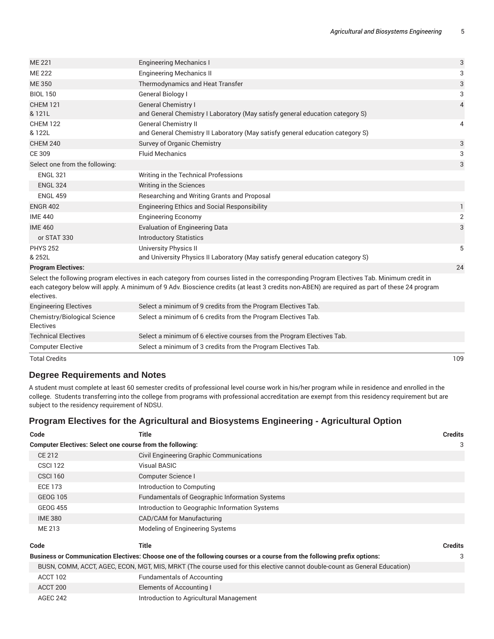| <b>ME 221</b>                                           | <b>Engineering Mechanics I</b>                                                                                                                                                                                                                                                             | 3              |
|---------------------------------------------------------|--------------------------------------------------------------------------------------------------------------------------------------------------------------------------------------------------------------------------------------------------------------------------------------------|----------------|
| <b>ME 222</b>                                           | <b>Engineering Mechanics II</b>                                                                                                                                                                                                                                                            | 3              |
| <b>ME 350</b>                                           | Thermodynamics and Heat Transfer                                                                                                                                                                                                                                                           | 3              |
| <b>BIOL 150</b>                                         | General Biology I                                                                                                                                                                                                                                                                          | 3              |
| <b>CHEM 121</b><br>& 121L                               | <b>General Chemistry I</b><br>and General Chemistry I Laboratory (May satisfy general education category S)                                                                                                                                                                                | $\overline{4}$ |
| <b>CHEM 122</b><br>& 122L                               | General Chemistry II<br>and General Chemistry II Laboratory (May satisfy general education category S)                                                                                                                                                                                     | 4              |
| <b>CHEM 240</b>                                         | Survey of Organic Chemistry                                                                                                                                                                                                                                                                | 3              |
| CE 309                                                  | <b>Fluid Mechanics</b>                                                                                                                                                                                                                                                                     | 3              |
| Select one from the following:                          |                                                                                                                                                                                                                                                                                            | 3              |
| <b>ENGL 321</b>                                         | Writing in the Technical Professions                                                                                                                                                                                                                                                       |                |
| <b>ENGL 324</b>                                         | Writing in the Sciences                                                                                                                                                                                                                                                                    |                |
| <b>ENGL 459</b>                                         | Researching and Writing Grants and Proposal                                                                                                                                                                                                                                                |                |
| <b>ENGR 402</b>                                         | <b>Engineering Ethics and Social Responsibility</b>                                                                                                                                                                                                                                        | 1              |
| <b>IME 440</b>                                          | <b>Engineering Economy</b>                                                                                                                                                                                                                                                                 | 2              |
| <b>IME 460</b>                                          | <b>Evaluation of Engineering Data</b>                                                                                                                                                                                                                                                      | 3              |
| or STAT 330                                             | <b>Introductory Statistics</b>                                                                                                                                                                                                                                                             |                |
| <b>PHYS 252</b>                                         | <b>University Physics II</b>                                                                                                                                                                                                                                                               | 5              |
| & 252L                                                  | and University Physics II Laboratory (May satisfy general education category S)                                                                                                                                                                                                            |                |
| <b>Program Electives:</b>                               |                                                                                                                                                                                                                                                                                            | 24             |
| electives.                                              | Select the following program electives in each category from courses listed in the corresponding Program Electives Tab. Minimum credit in<br>each category below will apply. A minimum of 9 Adv. Bioscience credits (at least 3 credits non-ABEN) are required as part of these 24 program |                |
| <b>Engineering Electives</b>                            | Select a minimum of 9 credits from the Program Electives Tab.                                                                                                                                                                                                                              |                |
| <b>Chemistry/Biological Science</b><br><b>Electives</b> | Select a minimum of 6 credits from the Program Electives Tab.                                                                                                                                                                                                                              |                |
| <b>Technical Electives</b>                              | Select a minimum of 6 elective courses from the Program Electives Tab.                                                                                                                                                                                                                     |                |
| <b>Computer Elective</b>                                | Select a minimum of 3 credits from the Program Electives Tab.                                                                                                                                                                                                                              |                |

Total Credits 109

## **Degree Requirements and Notes**

A student must complete at least 60 semester credits of professional level course work in his/her program while in residence and enrolled in the college. Students transferring into the college from programs with professional accreditation are exempt from this residency requirement but are subject to the residency requirement of NDSU.

## **Program Electives for the Agricultural and Biosystems Engineering - Agricultural Option**

| Code                                                             | Title                                                                                                                     | <b>Credits</b> |
|------------------------------------------------------------------|---------------------------------------------------------------------------------------------------------------------------|----------------|
| <b>Computer Electives: Select one course from the following:</b> |                                                                                                                           | 3              |
| CE 212                                                           | Civil Engineering Graphic Communications                                                                                  |                |
| <b>CSCI 122</b>                                                  | Visual BASIC                                                                                                              |                |
| <b>CSCI 160</b>                                                  | Computer Science I                                                                                                        |                |
| <b>ECE 173</b>                                                   | Introduction to Computing                                                                                                 |                |
| <b>GEOG 105</b>                                                  | <b>Fundamentals of Geographic Information Systems</b>                                                                     |                |
| <b>GEOG 455</b>                                                  | Introduction to Geographic Information Systems                                                                            |                |
| <b>IME 380</b>                                                   | CAD/CAM for Manufacturing                                                                                                 |                |
| ME 213                                                           | Modeling of Engineering Systems                                                                                           |                |
| Code                                                             | <b>Title</b>                                                                                                              | <b>Credits</b> |
|                                                                  | Business or Communication Electives: Choose one of the following courses or a course from the following prefix options:   | 3              |
|                                                                  | BUSN, COMM, ACCT, AGEC, ECON, MGT, MIS, MRKT (The course used for this elective cannot double-count as General Education) |                |
| ACCT 102                                                         | <b>Fundamentals of Accounting</b>                                                                                         |                |
| ACCT 200                                                         | Elements of Accounting I                                                                                                  |                |
| <b>AGEC 242</b>                                                  | Introduction to Agricultural Management                                                                                   |                |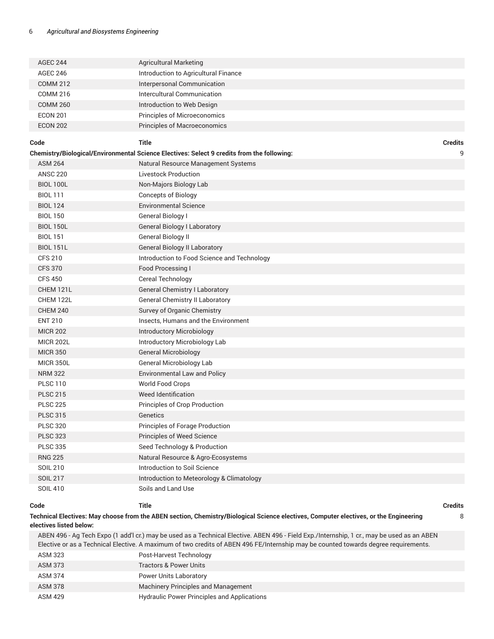| <b>AGEC 244</b>         | <b>Agricultural Marketing</b>                                                                                                                                                                                                                                                     |                |
|-------------------------|-----------------------------------------------------------------------------------------------------------------------------------------------------------------------------------------------------------------------------------------------------------------------------------|----------------|
| <b>AGEC 246</b>         | Introduction to Agricultural Finance                                                                                                                                                                                                                                              |                |
| <b>COMM 212</b>         | Interpersonal Communication                                                                                                                                                                                                                                                       |                |
| <b>COMM 216</b>         | <b>Intercultural Communication</b>                                                                                                                                                                                                                                                |                |
| <b>COMM 260</b>         | Introduction to Web Design                                                                                                                                                                                                                                                        |                |
| <b>ECON 201</b>         | Principles of Microeconomics                                                                                                                                                                                                                                                      |                |
| <b>ECON 202</b>         | Principles of Macroeconomics                                                                                                                                                                                                                                                      |                |
|                         |                                                                                                                                                                                                                                                                                   |                |
| Code                    | <b>Title</b>                                                                                                                                                                                                                                                                      | Credits        |
| <b>ASM 264</b>          | Chemistry/Biological/Environmental Science Electives: Select 9 credits from the following:                                                                                                                                                                                        | 9              |
| <b>ANSC 220</b>         | Natural Resource Management Systems<br><b>Livestock Production</b>                                                                                                                                                                                                                |                |
|                         |                                                                                                                                                                                                                                                                                   |                |
| <b>BIOL 100L</b>        | Non-Majors Biology Lab                                                                                                                                                                                                                                                            |                |
| <b>BIOL 111</b>         | <b>Concepts of Biology</b>                                                                                                                                                                                                                                                        |                |
| <b>BIOL 124</b>         | <b>Environmental Science</b>                                                                                                                                                                                                                                                      |                |
| <b>BIOL 150</b>         | <b>General Biology I</b>                                                                                                                                                                                                                                                          |                |
| <b>BIOL 150L</b>        | <b>General Biology I Laboratory</b>                                                                                                                                                                                                                                               |                |
| <b>BIOL 151</b>         | General Biology II                                                                                                                                                                                                                                                                |                |
| <b>BIOL 151L</b>        | <b>General Biology II Laboratory</b>                                                                                                                                                                                                                                              |                |
| <b>CFS 210</b>          | Introduction to Food Science and Technology                                                                                                                                                                                                                                       |                |
| <b>CFS 370</b>          | Food Processing I                                                                                                                                                                                                                                                                 |                |
| <b>CFS 450</b>          | Cereal Technology                                                                                                                                                                                                                                                                 |                |
| CHEM 121L               | <b>General Chemistry I Laboratory</b>                                                                                                                                                                                                                                             |                |
| CHEM 122L               | <b>General Chemistry II Laboratory</b>                                                                                                                                                                                                                                            |                |
| <b>CHEM 240</b>         | Survey of Organic Chemistry                                                                                                                                                                                                                                                       |                |
| <b>ENT 210</b>          | Insects, Humans and the Environment                                                                                                                                                                                                                                               |                |
| <b>MICR 202</b>         | Introductory Microbiology                                                                                                                                                                                                                                                         |                |
| <b>MICR 202L</b>        | Introductory Microbiology Lab                                                                                                                                                                                                                                                     |                |
| <b>MICR 350</b>         | <b>General Microbiology</b>                                                                                                                                                                                                                                                       |                |
| <b>MICR 350L</b>        | General Microbiology Lab                                                                                                                                                                                                                                                          |                |
| <b>NRM 322</b>          | <b>Environmental Law and Policy</b>                                                                                                                                                                                                                                               |                |
| <b>PLSC 110</b>         | World Food Crops                                                                                                                                                                                                                                                                  |                |
| <b>PLSC 215</b>         | <b>Weed Identification</b>                                                                                                                                                                                                                                                        |                |
| <b>PLSC 225</b>         | Principles of Crop Production                                                                                                                                                                                                                                                     |                |
| <b>PLSC 315</b>         | Genetics                                                                                                                                                                                                                                                                          |                |
| <b>PLSC 320</b>         | Principles of Forage Production                                                                                                                                                                                                                                                   |                |
| <b>PLSC 323</b>         | Principles of Weed Science                                                                                                                                                                                                                                                        |                |
| <b>PLSC 335</b>         | Seed Technology & Production                                                                                                                                                                                                                                                      |                |
| <b>RNG 225</b>          | Natural Resource & Agro-Ecosystems                                                                                                                                                                                                                                                |                |
| <b>SOIL 210</b>         | Introduction to Soil Science                                                                                                                                                                                                                                                      |                |
| <b>SOIL 217</b>         | Introduction to Meteorology & Climatology                                                                                                                                                                                                                                         |                |
| <b>SOIL 410</b>         | Soils and Land Use                                                                                                                                                                                                                                                                |                |
| Code                    | <b>Title</b>                                                                                                                                                                                                                                                                      | <b>Credits</b> |
|                         | Technical Electives: May choose from the ABEN section, Chemistry/Biological Science electives, Computer electives, or the Engineering                                                                                                                                             |                |
| electives listed below: |                                                                                                                                                                                                                                                                                   | 8              |
|                         | ABEN 496 - Ag Tech Expo (1 add'l cr.) may be used as a Technical Elective. ABEN 496 - Field Exp./Internship, 1 cr., may be used as an ABEN<br>Elective or as a Technical Elective. A maximum of two credits of ABEN 496 FE/Internship may be counted towards degree requirements. |                |

ASM 323 Post-Harvest Technology ASM 373 Tractors & Power Units ASM 374 **Power Units Laboratory** ASM 378 Machinery Principles and Management ASM 429 **Hydraulic Power Principles and Applications**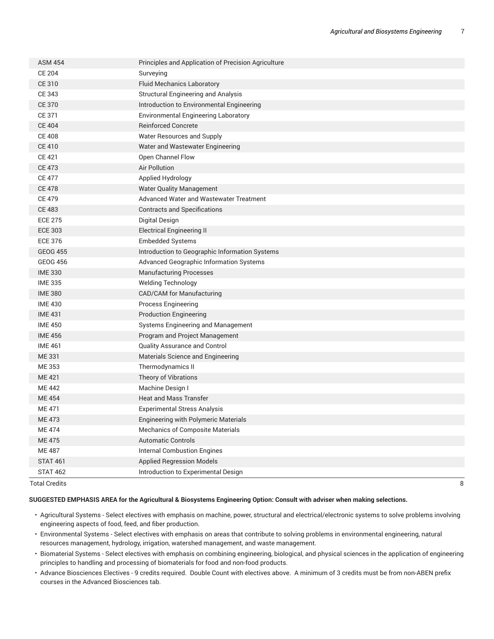| <b>ASM 454</b>  | Principles and Application of Precision Agriculture |
|-----------------|-----------------------------------------------------|
| <b>CE 204</b>   | Surveying                                           |
| <b>CE 310</b>   | <b>Fluid Mechanics Laboratory</b>                   |
| CE 343          | <b>Structural Engineering and Analysis</b>          |
| <b>CE 370</b>   | Introduction to Environmental Engineering           |
| CE 371          | <b>Environmental Engineering Laboratory</b>         |
| <b>CE 404</b>   | <b>Reinforced Concrete</b>                          |
| <b>CE 408</b>   | Water Resources and Supply                          |
| <b>CE 410</b>   | Water and Wastewater Engineering                    |
| <b>CE 421</b>   | Open Channel Flow                                   |
| <b>CE 473</b>   | <b>Air Pollution</b>                                |
| <b>CE 477</b>   | Applied Hydrology                                   |
| <b>CE 478</b>   | <b>Water Quality Management</b>                     |
| <b>CE 479</b>   | <b>Advanced Water and Wastewater Treatment</b>      |
| <b>CE 483</b>   | <b>Contracts and Specifications</b>                 |
| <b>ECE 275</b>  | Digital Design                                      |
| <b>ECE 303</b>  | <b>Electrical Engineering II</b>                    |
| <b>ECE 376</b>  | <b>Embedded Systems</b>                             |
| <b>GEOG 455</b> | Introduction to Geographic Information Systems      |
| <b>GEOG 456</b> | Advanced Geographic Information Systems             |
| <b>IME 330</b>  | <b>Manufacturing Processes</b>                      |
| <b>IME 335</b>  | <b>Welding Technology</b>                           |
| <b>IME 380</b>  | CAD/CAM for Manufacturing                           |
| <b>IME 430</b>  | <b>Process Engineering</b>                          |
| <b>IME 431</b>  | <b>Production Engineering</b>                       |
| <b>IME 450</b>  | Systems Engineering and Management                  |
| <b>IME 456</b>  | Program and Project Management                      |
| <b>IME 461</b>  | Quality Assurance and Control                       |
| <b>ME331</b>    | Materials Science and Engineering                   |
| ME 353          | Thermodynamics II                                   |
| <b>ME421</b>    | Theory of Vibrations                                |
| <b>ME 442</b>   | Machine Design I                                    |
| <b>ME454</b>    | <b>Heat and Mass Transfer</b>                       |
| <b>ME471</b>    | <b>Experimental Stress Analysis</b>                 |
| <b>ME 473</b>   | Engineering with Polymeric Materials                |
| <b>ME474</b>    | <b>Mechanics of Composite Materials</b>             |
| <b>ME475</b>    | <b>Automatic Controls</b>                           |
| <b>ME487</b>    | <b>Internal Combustion Engines</b>                  |
| <b>STAT 461</b> | <b>Applied Regression Models</b>                    |
| <b>STAT 462</b> | Introduction to Experimental Design                 |

Total Credits 8

#### **SUGGESTED EMPHASIS AREA for the Agricultural & Biosystems Engineering Option: Consult with adviser when making selections.**

- Agricultural Systems Select electives with emphasis on machine, power, structural and electrical/electronic systems to solve problems involving engineering aspects of food, feed, and fiber production.
- Environmental Systems Select electives with emphasis on areas that contribute to solving problems in environmental engineering, natural resources management, hydrology, irrigation, watershed management, and waste management.
- Biomaterial Systems Select electives with emphasis on combining engineering, biological, and physical sciences in the application of engineering principles to handling and processing of biomaterials for food and non-food products.
- Advance Biosciences Electives 9 credits required. Double Count with electives above. A minimum of 3 credits must be from non-ABEN prefix courses in the Advanced Biosciences tab.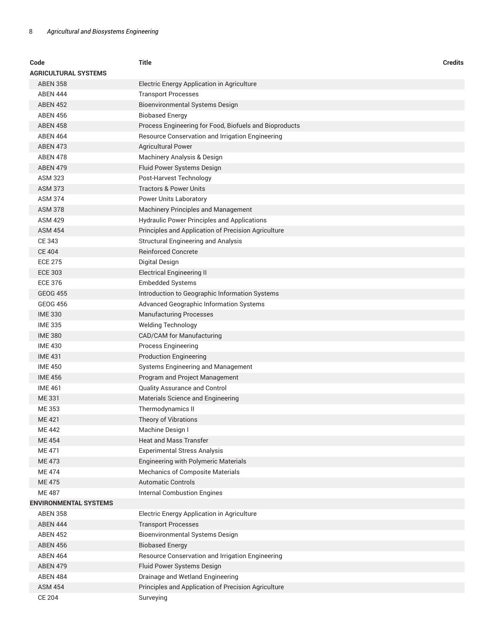| Code<br>AGRICULTURAL SYSTEMS | <b>Title</b>                                           | <b>Credits</b> |
|------------------------------|--------------------------------------------------------|----------------|
| <b>ABEN 358</b>              | Electric Energy Application in Agriculture             |                |
| <b>ABEN 444</b>              | <b>Transport Processes</b>                             |                |
| <b>ABEN 452</b>              | Bioenvironmental Systems Design                        |                |
| <b>ABEN 456</b>              | <b>Biobased Energy</b>                                 |                |
| <b>ABEN 458</b>              | Process Engineering for Food, Biofuels and Bioproducts |                |
| <b>ABEN 464</b>              | Resource Conservation and Irrigation Engineering       |                |
| <b>ABEN 473</b>              | <b>Agricultural Power</b>                              |                |
| <b>ABEN 478</b>              | Machinery Analysis & Design                            |                |
| <b>ABEN 479</b>              | Fluid Power Systems Design                             |                |
| ASM 323                      | Post-Harvest Technology                                |                |
| <b>ASM 373</b>               | <b>Tractors &amp; Power Units</b>                      |                |
| <b>ASM 374</b>               | Power Units Laboratory                                 |                |
| <b>ASM 378</b>               | Machinery Principles and Management                    |                |
| <b>ASM 429</b>               | <b>Hydraulic Power Principles and Applications</b>     |                |
| <b>ASM 454</b>               | Principles and Application of Precision Agriculture    |                |
| CE 343                       | Structural Engineering and Analysis                    |                |
| <b>CE 404</b>                | <b>Reinforced Concrete</b>                             |                |
| <b>ECE 275</b>               | Digital Design                                         |                |
| <b>ECE 303</b>               | <b>Electrical Engineering II</b>                       |                |
| <b>ECE 376</b>               | <b>Embedded Systems</b>                                |                |
| <b>GEOG 455</b>              | Introduction to Geographic Information Systems         |                |
| <b>GEOG 456</b>              | Advanced Geographic Information Systems                |                |
| <b>IME 330</b>               | <b>Manufacturing Processes</b>                         |                |
| <b>IME 335</b>               | <b>Welding Technology</b>                              |                |
| <b>IME 380</b>               | CAD/CAM for Manufacturing                              |                |
| <b>IME 430</b>               | <b>Process Engineering</b>                             |                |
| <b>IME 431</b>               | <b>Production Engineering</b>                          |                |
| <b>IME 450</b>               | Systems Engineering and Management                     |                |
| <b>IME 456</b>               | Program and Project Management                         |                |
| <b>IME 461</b>               | Quality Assurance and Control                          |                |
| ME 331                       | Materials Science and Engineering                      |                |
| ME 353                       | Thermodynamics II                                      |                |
| <b>ME 421</b>                | Theory of Vibrations                                   |                |
| ME 442                       | Machine Design I                                       |                |
| <b>ME454</b>                 | <b>Heat and Mass Transfer</b>                          |                |
| <b>ME471</b>                 | <b>Experimental Stress Analysis</b>                    |                |
| <b>ME473</b>                 | <b>Engineering with Polymeric Materials</b>            |                |
| ME 474                       | <b>Mechanics of Composite Materials</b>                |                |
| <b>ME475</b>                 | <b>Automatic Controls</b>                              |                |
| <b>ME 487</b>                | <b>Internal Combustion Engines</b>                     |                |
| <b>ENVIRONMENTAL SYSTEMS</b> |                                                        |                |
| <b>ABEN 358</b>              | Electric Energy Application in Agriculture             |                |
| <b>ABEN 444</b>              | <b>Transport Processes</b>                             |                |
| <b>ABEN 452</b>              | Bioenvironmental Systems Design                        |                |
| <b>ABEN 456</b>              | <b>Biobased Energy</b>                                 |                |
| <b>ABEN 464</b>              | Resource Conservation and Irrigation Engineering       |                |
| <b>ABEN 479</b>              | Fluid Power Systems Design                             |                |
| <b>ABEN 484</b>              | Drainage and Wetland Engineering                       |                |
| <b>ASM 454</b>               | Principles and Application of Precision Agriculture    |                |
| <b>CE 204</b>                | Surveying                                              |                |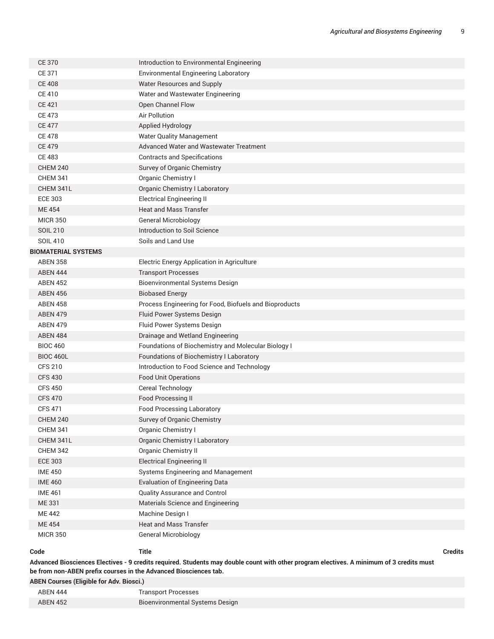| <b>CE 370</b>              | Introduction to Environmental Engineering              |                |
|----------------------------|--------------------------------------------------------|----------------|
| CE 371                     | <b>Environmental Engineering Laboratory</b>            |                |
| <b>CE 408</b>              | Water Resources and Supply                             |                |
| <b>CE 410</b>              | Water and Wastewater Engineering                       |                |
| <b>CE 421</b>              | Open Channel Flow                                      |                |
| <b>CE 473</b>              | <b>Air Pollution</b>                                   |                |
| <b>CE 477</b>              | Applied Hydrology                                      |                |
| <b>CE 478</b>              | <b>Water Quality Management</b>                        |                |
| <b>CE 479</b>              | Advanced Water and Wastewater Treatment                |                |
| <b>CE 483</b>              | <b>Contracts and Specifications</b>                    |                |
| <b>CHEM 240</b>            | Survey of Organic Chemistry                            |                |
| <b>CHEM 341</b>            | Organic Chemistry I                                    |                |
| CHEM 341L                  | <b>Organic Chemistry I Laboratory</b>                  |                |
| <b>ECE 303</b>             | <b>Electrical Engineering II</b>                       |                |
| <b>ME454</b>               | <b>Heat and Mass Transfer</b>                          |                |
| <b>MICR 350</b>            | <b>General Microbiology</b>                            |                |
| <b>SOIL 210</b>            | Introduction to Soil Science                           |                |
| <b>SOIL 410</b>            | Soils and Land Use                                     |                |
| <b>BIOMATERIAL SYSTEMS</b> |                                                        |                |
| <b>ABEN 358</b>            | Electric Energy Application in Agriculture             |                |
| <b>ABEN 444</b>            | <b>Transport Processes</b>                             |                |
| <b>ABEN 452</b>            | <b>Bioenvironmental Systems Design</b>                 |                |
| <b>ABEN 456</b>            | <b>Biobased Energy</b>                                 |                |
| <b>ABEN 458</b>            | Process Engineering for Food, Biofuels and Bioproducts |                |
| <b>ABEN 479</b>            | Fluid Power Systems Design                             |                |
| <b>ABEN 479</b>            | Fluid Power Systems Design                             |                |
| <b>ABEN 484</b>            | Drainage and Wetland Engineering                       |                |
| <b>BIOC 460</b>            | Foundations of Biochemistry and Molecular Biology I    |                |
| <b>BIOC 460L</b>           | Foundations of Biochemistry I Laboratory               |                |
| <b>CFS 210</b>             | Introduction to Food Science and Technology            |                |
| <b>CFS 430</b>             | <b>Food Unit Operations</b>                            |                |
| <b>CFS 450</b>             | Cereal Technology                                      |                |
| <b>CFS 470</b>             | Food Processing II                                     |                |
| <b>CFS 471</b>             | <b>Food Processing Laboratory</b>                      |                |
| <b>CHEM 240</b>            | Survey of Organic Chemistry                            |                |
| <b>CHEM 341</b>            | Organic Chemistry I                                    |                |
| CHEM 341L                  | <b>Organic Chemistry I Laboratory</b>                  |                |
| <b>CHEM 342</b>            | <b>Organic Chemistry II</b>                            |                |
| <b>ECE 303</b>             | <b>Electrical Engineering II</b>                       |                |
| <b>IME 450</b>             | Systems Engineering and Management                     |                |
| <b>IME 460</b>             | <b>Evaluation of Engineering Data</b>                  |                |
| <b>IME 461</b>             | Quality Assurance and Control                          |                |
| ME 331                     | Materials Science and Engineering                      |                |
| <b>ME 442</b>              | Machine Design I                                       |                |
| <b>ME454</b>               | <b>Heat and Mass Transfer</b>                          |                |
| <b>MICR 350</b>            | <b>General Microbiology</b>                            |                |
|                            |                                                        |                |
| Code                       | <b>Title</b>                                           | <b>Credits</b> |

Advanced Biosciences Electives - 9 credits required. Students may double count with other program electives. A minimum of 3 credits must **be from non-ABEN prefix courses in the Advanced Biosciences tab.**

**ABEN Courses (Eligible for Adv. Biosci.)**

| ABEN 444        | <b>Transport Processes</b>      |
|-----------------|---------------------------------|
| <b>ABEN 452</b> | Bioenvironmental Systems Design |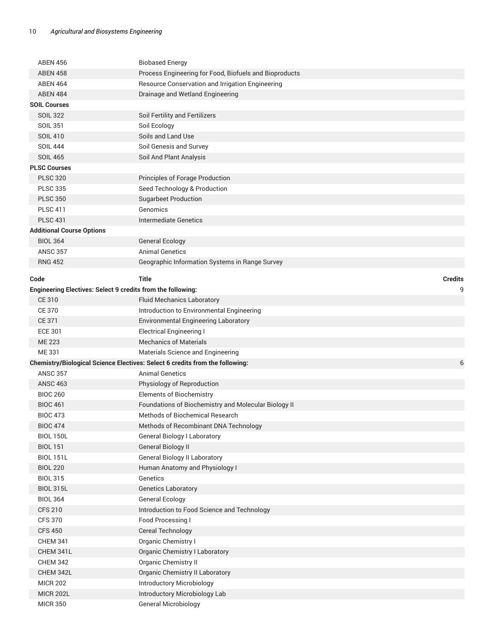| <b>ABEN 456</b>                                                    | <b>Biobased Energy</b>                                                                   |
|--------------------------------------------------------------------|------------------------------------------------------------------------------------------|
| <b>ABEN 458</b>                                                    | Process Engineering for Food, Biofuels and Bioproducts                                   |
| <b>ABEN 464</b>                                                    | Resource Conservation and Irrigation Engineering                                         |
| <b>ABEN 484</b>                                                    | Drainage and Wetland Engineering                                                         |
| <b>SOIL Courses</b>                                                |                                                                                          |
| <b>SOIL 322</b>                                                    | Soil Fertility and Fertilizers                                                           |
| <b>SOIL 351</b>                                                    | Soil Ecology                                                                             |
| <b>SOIL 410</b>                                                    | Soils and Land Use                                                                       |
| <b>SOIL 444</b>                                                    | Soil Genesis and Survey                                                                  |
| <b>SOIL 465</b>                                                    | Soil And Plant Analysis                                                                  |
| <b>PLSC Courses</b>                                                |                                                                                          |
| <b>PLSC 320</b>                                                    | Principles of Forage Production                                                          |
| <b>PLSC 335</b>                                                    | Seed Technology & Production                                                             |
| <b>PLSC 350</b>                                                    | <b>Sugarbeet Production</b>                                                              |
| <b>PLSC 411</b>                                                    | Genomics                                                                                 |
| <b>PLSC 431</b>                                                    | <b>Intermediate Genetics</b>                                                             |
| <b>Additional Course Options</b>                                   |                                                                                          |
| <b>BIOL 364</b>                                                    | <b>General Ecology</b>                                                                   |
| <b>ANSC 357</b>                                                    | <b>Animal Genetics</b>                                                                   |
| <b>RNG 452</b>                                                     | Geographic Information Systems in Range Survey                                           |
|                                                                    |                                                                                          |
| Code                                                               | <b>Title</b><br><b>Credits</b>                                                           |
| <b>Engineering Electives: Select 9 credits from the following:</b> | 9                                                                                        |
| CE 310                                                             | <b>Fluid Mechanics Laboratory</b>                                                        |
| <b>CE 370</b>                                                      | Introduction to Environmental Engineering                                                |
| <b>CE 371</b>                                                      | Environmental Engineering Laboratory                                                     |
| <b>ECE 301</b>                                                     | <b>Electrical Engineering I</b>                                                          |
| <b>ME 223</b>                                                      | <b>Mechanics of Materials</b>                                                            |
| ME 331                                                             | Materials Science and Engineering                                                        |
|                                                                    | <b>Chemistry/Biological Science Electives: Select 6 credits from the following:</b><br>6 |
| <b>ANSC 357</b>                                                    | <b>Animal Genetics</b>                                                                   |
| <b>ANSC 463</b>                                                    | Physiology of Reproduction                                                               |
| <b>BIOC 260</b>                                                    | <b>Elements of Biochemistry</b>                                                          |
| <b>BIOC 461</b>                                                    | Foundations of Biochemistry and Molecular Biology II                                     |
| <b>BIOC 473</b>                                                    | <b>Methods of Biochemical Research</b>                                                   |
| <b>BIOC 474</b>                                                    | Methods of Recombinant DNA Technology                                                    |
| <b>BIOL 150L</b>                                                   | <b>General Biology I Laboratory</b>                                                      |
| <b>BIOL 151</b>                                                    | <b>General Biology II</b>                                                                |
| <b>BIOL 151L</b>                                                   | <b>General Biology II Laboratory</b>                                                     |
| <b>BIOL 220</b>                                                    | Human Anatomy and Physiology I                                                           |
| <b>BIOL 315</b>                                                    | Genetics                                                                                 |
| <b>BIOL 315L</b>                                                   | <b>Genetics Laboratory</b>                                                               |
| <b>BIOL 364</b>                                                    | <b>General Ecology</b>                                                                   |
| <b>CFS 210</b>                                                     | Introduction to Food Science and Technology                                              |
| <b>CFS 370</b>                                                     | Food Processing I                                                                        |
| <b>CFS 450</b>                                                     | <b>Cereal Technology</b>                                                                 |
| <b>CHEM 341</b>                                                    | Organic Chemistry I                                                                      |
| CHEM 341L                                                          | <b>Organic Chemistry I Laboratory</b>                                                    |
| <b>CHEM 342</b>                                                    | Organic Chemistry II                                                                     |
| CHEM 342L                                                          | <b>Organic Chemistry II Laboratory</b>                                                   |
| <b>MICR 202</b>                                                    | <b>Introductory Microbiology</b>                                                         |
| <b>MICR 202L</b>                                                   | Introductory Microbiology Lab                                                            |
| <b>MICR 350</b>                                                    | <b>General Microbiology</b>                                                              |